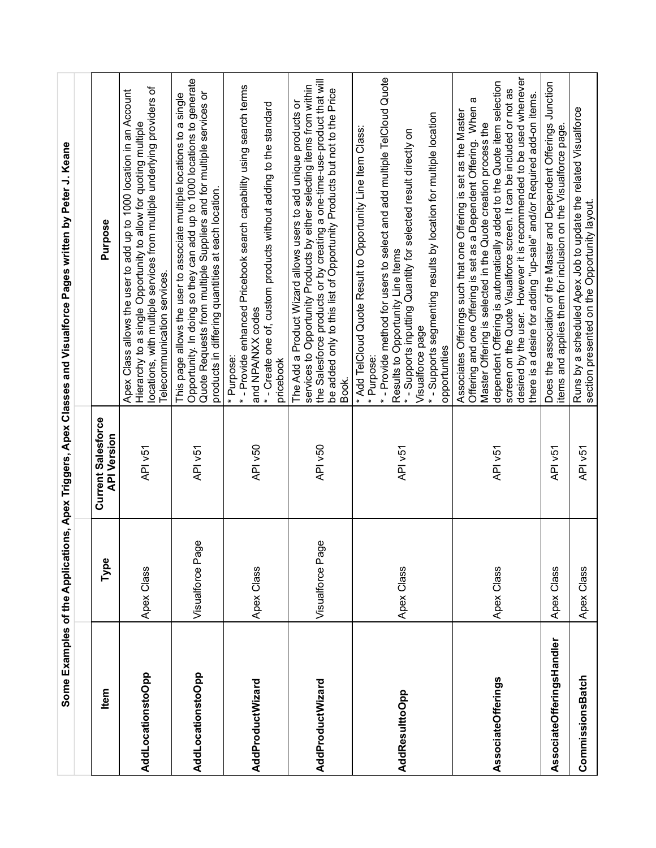|                           |                  |                                                 | Some Examples of the Applications, Apex Triggers, Apex Classes and Visualforce Pages written by Peter J. Keane                                                                                                                                                                                                                                                                                                                                                                                       |
|---------------------------|------------------|-------------------------------------------------|------------------------------------------------------------------------------------------------------------------------------------------------------------------------------------------------------------------------------------------------------------------------------------------------------------------------------------------------------------------------------------------------------------------------------------------------------------------------------------------------------|
|                           |                  |                                                 |                                                                                                                                                                                                                                                                                                                                                                                                                                                                                                      |
| Item                      | Type             | <b>Current Salesforce</b><br><b>API Version</b> | Purpose                                                                                                                                                                                                                                                                                                                                                                                                                                                                                              |
| AddLocationstoOpp         | Apex Class       | API v51                                         | locations, with multiple services from multiple underlying providers of<br>Apex Class allows the user to add up to 1000 location in an Account<br>Hierarchy to a single Opportunity to allow for quoting multiple<br>Telecommunication services.                                                                                                                                                                                                                                                     |
| AddLocationstoOpp         | Visualforce Page | API v51                                         | Opportunity. In doing so they can add up to 1000 locations to generate<br>Quote Requests from multiple Suppliers and for multiple services or<br>This page allows the user to associate multiple locations to a single<br>products in differing quantities at each location.                                                                                                                                                                                                                         |
| AddProductWizard          | Apex Class       | API v50                                         | *- Provide enhanced Pricebook search capability using search terms<br>*- Create one of, custom products without adding to the standard<br>and NPA/NXX codes<br>* Purpose:<br>pricebook                                                                                                                                                                                                                                                                                                               |
| AddProductWizard          | Visualforce Page | API v50                                         | the Salesforce products or by creating a one-time-use-product that will<br>services to Opportunity Products by either selecting items from within<br>be added only to this list of Opportunity Products but not to the Price<br>The Add a Product Wizard allows users to add unique products or<br>Book.                                                                                                                                                                                             |
| AddResulttoOpp            | Apex Class       | API v51                                         | *- Provide method for users to select and add multiple TelCloud Quote<br>*- Supports segmenting results by location for multiple location<br>* Add TelCloud Quote Result to Opportunity Line Item Class:<br>*- Supports inputting Quantity for selected result directly on<br>Results to Opportunity Line Items<br>Visualforce page<br>opportunties<br>* Purpose:                                                                                                                                    |
| <b>AssociateOfferings</b> | Apex Class       | API <sub>V51</sub>                              | desired by the user. However it is recommended to be used whenever<br>dependent Offering is automatically added to the Quote item selection<br>screen on the Quote Visualforce screen. It can be included or not as<br>there is a desire for adding "up-sale" and/or Required add-on items.<br>Offering and one Offering is set as a Dependent Offering. When a<br>Associates Offerings such that one Offering is set as the Master<br>Master Offering is selected in the Quote creation process the |
| AssociateOfferingsHandler | Apex Class       | API v51                                         | Does the association of the Master and Dependent Offerings Junction<br>items and applies them for inclusion on the Visualforce page.                                                                                                                                                                                                                                                                                                                                                                 |
| CommissionsBatch          | Apex Class       | API v51                                         | Runs by a scheduled Apex Job to update the related Visualforce<br>section presented on the Opportunity layout.                                                                                                                                                                                                                                                                                                                                                                                       |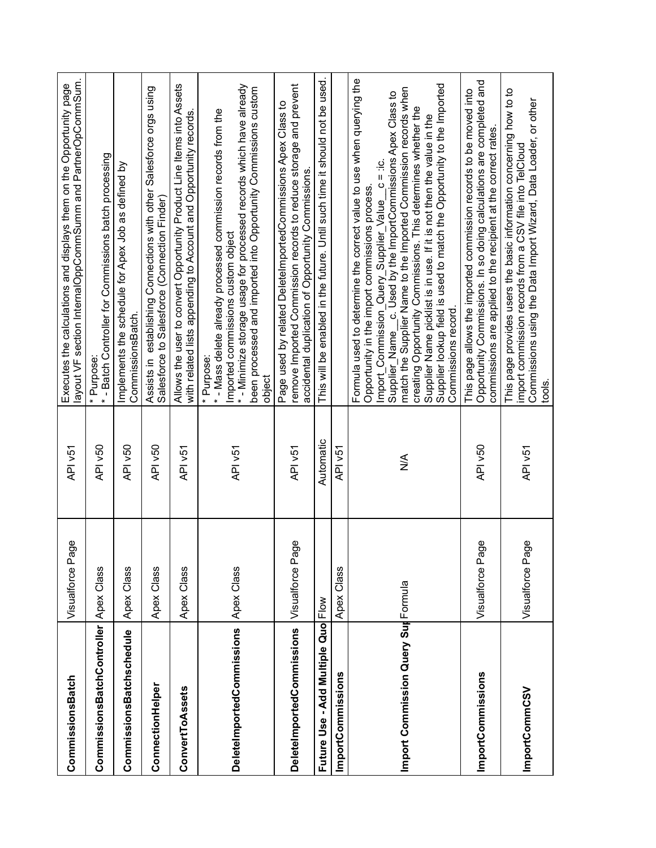| CommissionsBatch                      | Visualforce Page | API v51            | layout VF section InternalOppCommSumm and PartnerOpCommSum.<br>Executes the calculations and displays them on the Opportunity page                                                                                                                                                                                                                                                                                                                                                                                                                                                                                                                                                                                                                         |
|---------------------------------------|------------------|--------------------|------------------------------------------------------------------------------------------------------------------------------------------------------------------------------------------------------------------------------------------------------------------------------------------------------------------------------------------------------------------------------------------------------------------------------------------------------------------------------------------------------------------------------------------------------------------------------------------------------------------------------------------------------------------------------------------------------------------------------------------------------------|
| CommissionsBatchController Apex Class |                  | API v50            | * - Batch Controller for Commissions batch processing<br>* Purpose:                                                                                                                                                                                                                                                                                                                                                                                                                                                                                                                                                                                                                                                                                        |
| CommissionsBatchschedule              | Apex Class       | API v50            | Implements the schedule for Apex Job as defined by<br>CommissionsBatch.                                                                                                                                                                                                                                                                                                                                                                                                                                                                                                                                                                                                                                                                                    |
| ConnectionHelper                      | Apex Class       | API v50            | Assists in establishing Connections with other Salesforce orgs using<br>Salesforce to Salesforce (Connection Finder)                                                                                                                                                                                                                                                                                                                                                                                                                                                                                                                                                                                                                                       |
| ConvertToAssets                       | Apex Class       | API v51            | Allows the user to convert Opportunity Product Line Items into Assets<br>with related lists appending to Account and Opportunity records.                                                                                                                                                                                                                                                                                                                                                                                                                                                                                                                                                                                                                  |
| <b>DeletelmportedCommissions</b>      | Apex Class       | API v51            | *- Minimize storage usage for processed records which have already<br>been processed and imported into Opportunity Commissions custom<br>*- Mass delete already processed commission records from the<br>Imported commissions custom object<br>* Purpose:<br>object                                                                                                                                                                                                                                                                                                                                                                                                                                                                                        |
| <b>DeletelmportedCommissions</b>      | Visualforce Page | API v51            | remove Imported Commission records to reduce storage and prevent<br>Page used by related DeleteImportedCommissions Apex Class to<br>accidental duplication of Opportunity Commissions.                                                                                                                                                                                                                                                                                                                                                                                                                                                                                                                                                                     |
| Future Use - Add Multiple Quo Flow    |                  | Automatic          | This will be enabled in the future. Until such time it should not be used.                                                                                                                                                                                                                                                                                                                                                                                                                                                                                                                                                                                                                                                                                 |
| ImportCommissions                     | Apex Class       | API <sub>V51</sub> |                                                                                                                                                                                                                                                                                                                                                                                                                                                                                                                                                                                                                                                                                                                                                            |
| Import Commission Query Sur Formula   |                  | ⋚                  | Formula used to determine the correct value to use when querying the<br>Supplier lookup field is used to match the Opportunity to the Imported<br>match the Supplier Name to the Imported Commission records when<br>Supplier_Name__c. Used by the ImportCommissions Apex Class to<br>creating Opportunity Commissions. This determines whether the<br>Supplier Name picklist is in use. If it is not then the value in the<br>ic.<br>underlying Nebolidasing Construction<br>1991 - Construction<br>1992 - Construction<br>1992 - Construction<br>1992 - Construction<br>1993 - Construction<br>1993 - Construction<br>1994 - Construction<br>1994 - Construction<br>1995 - Cons<br>Opportunity in the import commissions process.<br>Commissions record. |
| ImportCommissions                     | Visualforce Page | API v50            | Opportunity Commissions. In so doing calculations are completed and<br>This page allows the imported commission records to be moved into<br>commissions are applied to the recipient at the correct rates.                                                                                                                                                                                                                                                                                                                                                                                                                                                                                                                                                 |
| ImportCommCSV                         | Visualforce Page | API v51            | This page provides users the basic information concerning how to to<br>Commissions using the Data Import Wizard, Data Loader, or other<br>import commission records from a CSV file into TelCloud<br>tools.                                                                                                                                                                                                                                                                                                                                                                                                                                                                                                                                                |